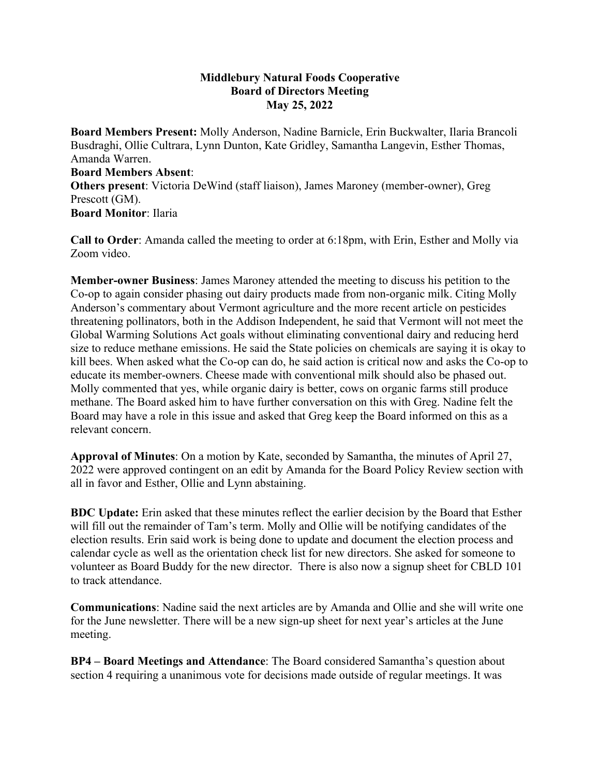## **Middlebury Natural Foods Cooperative Board of Directors Meeting May 25, 2022**

**Board Members Present:** Molly Anderson, Nadine Barnicle, Erin Buckwalter, Ilaria Brancoli Busdraghi, Ollie Cultrara, Lynn Dunton, Kate Gridley, Samantha Langevin, Esther Thomas, Amanda Warren. **Board Members Absent**: **Others present**: Victoria DeWind (staff liaison), James Maroney (member-owner), Greg Prescott (GM). **Board Monitor**: Ilaria

**Call to Order**: Amanda called the meeting to order at 6:18pm, with Erin, Esther and Molly via Zoom video.

**Member-owner Business**: James Maroney attended the meeting to discuss his petition to the Co-op to again consider phasing out dairy products made from non-organic milk. Citing Molly Anderson's commentary about Vermont agriculture and the more recent article on pesticides threatening pollinators, both in the Addison Independent, he said that Vermont will not meet the Global Warming Solutions Act goals without eliminating conventional dairy and reducing herd size to reduce methane emissions. He said the State policies on chemicals are saying it is okay to kill bees. When asked what the Co-op can do, he said action is critical now and asks the Co-op to educate its member-owners. Cheese made with conventional milk should also be phased out. Molly commented that yes, while organic dairy is better, cows on organic farms still produce methane. The Board asked him to have further conversation on this with Greg. Nadine felt the Board may have a role in this issue and asked that Greg keep the Board informed on this as a relevant concern.

**Approval of Minutes**: On a motion by Kate, seconded by Samantha, the minutes of April 27, 2022 were approved contingent on an edit by Amanda for the Board Policy Review section with all in favor and Esther, Ollie and Lynn abstaining.

**BDC Update:** Erin asked that these minutes reflect the earlier decision by the Board that Esther will fill out the remainder of Tam's term. Molly and Ollie will be notifying candidates of the election results. Erin said work is being done to update and document the election process and calendar cycle as well as the orientation check list for new directors. She asked for someone to volunteer as Board Buddy for the new director. There is also now a signup sheet for CBLD 101 to track attendance.

**Communications**: Nadine said the next articles are by Amanda and Ollie and she will write one for the June newsletter. There will be a new sign-up sheet for next year's articles at the June meeting.

**BP4 – Board Meetings and Attendance**: The Board considered Samantha's question about section 4 requiring a unanimous vote for decisions made outside of regular meetings. It was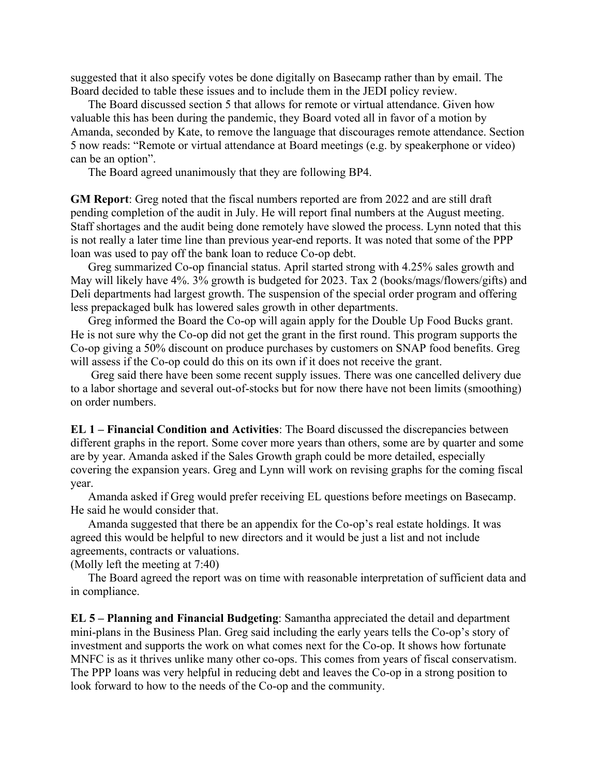suggested that it also specify votes be done digitally on Basecamp rather than by email. The Board decided to table these issues and to include them in the JEDI policy review.

 The Board discussed section 5 that allows for remote or virtual attendance. Given how valuable this has been during the pandemic, they Board voted all in favor of a motion by Amanda, seconded by Kate, to remove the language that discourages remote attendance. Section 5 now reads: "Remote or virtual attendance at Board meetings (e.g. by speakerphone or video) can be an option".

The Board agreed unanimously that they are following BP4.

**GM Report**: Greg noted that the fiscal numbers reported are from 2022 and are still draft pending completion of the audit in July. He will report final numbers at the August meeting. Staff shortages and the audit being done remotely have slowed the process. Lynn noted that this is not really a later time line than previous year-end reports. It was noted that some of the PPP loan was used to pay off the bank loan to reduce Co-op debt.

 Greg summarized Co-op financial status. April started strong with 4.25% sales growth and May will likely have 4%. 3% growth is budgeted for 2023. Tax 2 (books/mags/flowers/gifts) and Deli departments had largest growth. The suspension of the special order program and offering less prepackaged bulk has lowered sales growth in other departments.

 Greg informed the Board the Co-op will again apply for the Double Up Food Bucks grant. He is not sure why the Co-op did not get the grant in the first round. This program supports the Co-op giving a 50% discount on produce purchases by customers on SNAP food benefits. Greg will assess if the Co-op could do this on its own if it does not receive the grant.

 Greg said there have been some recent supply issues. There was one cancelled delivery due to a labor shortage and several out-of-stocks but for now there have not been limits (smoothing) on order numbers.

**EL 1 – Financial Condition and Activities**: The Board discussed the discrepancies between different graphs in the report. Some cover more years than others, some are by quarter and some are by year. Amanda asked if the Sales Growth graph could be more detailed, especially covering the expansion years. Greg and Lynn will work on revising graphs for the coming fiscal year.

 Amanda asked if Greg would prefer receiving EL questions before meetings on Basecamp. He said he would consider that.

 Amanda suggested that there be an appendix for the Co-op's real estate holdings. It was agreed this would be helpful to new directors and it would be just a list and not include agreements, contracts or valuations.

(Molly left the meeting at 7:40)

 The Board agreed the report was on time with reasonable interpretation of sufficient data and in compliance.

**EL 5 – Planning and Financial Budgeting**: Samantha appreciated the detail and department mini-plans in the Business Plan. Greg said including the early years tells the Co-op's story of investment and supports the work on what comes next for the Co-op. It shows how fortunate MNFC is as it thrives unlike many other co-ops. This comes from years of fiscal conservatism. The PPP loans was very helpful in reducing debt and leaves the Co-op in a strong position to look forward to how to the needs of the Co-op and the community.